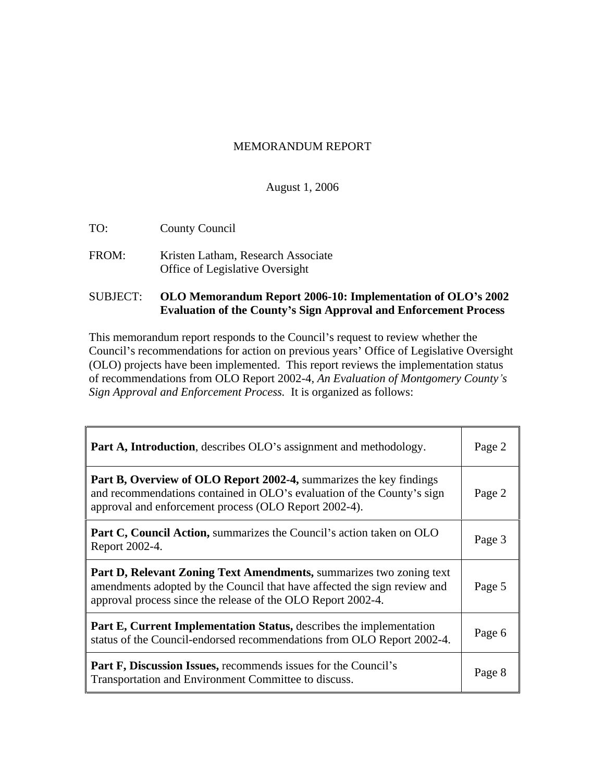#### MEMORANDUM REPORT

#### August 1, 2006

- TO: County Council
- FROM: Kristen Latham, Research Associate Office of Legislative Oversight

#### SUBJECT: **OLO Memorandum Report 2006-10: Implementation of OLO s 2002 Evaluation of the County s Sign Approval and Enforcement Process**

This memorandum report responds to the Council's request to review whether the Council's recommendations for action on previous years' Office of Legislative Oversight (OLO) projects have been implemented. This report reviews the implementation status of recommendations from OLO Report 2002-4, An Evaluation of Montgomery County's *Sign Approval and Enforcement Process.* It is organized as follows:

| <b>Part A, Introduction</b> , describes OLO's assignment and methodology.                                                                                                                                              | Page 2 |
|------------------------------------------------------------------------------------------------------------------------------------------------------------------------------------------------------------------------|--------|
| <b>Part B, Overview of OLO Report 2002-4, summarizes the key findings</b><br>and recommendations contained in OLO's evaluation of the County's sign<br>approval and enforcement process (OLO Report 2002-4).           | Page 2 |
| <b>Part C, Council Action, summarizes the Council's action taken on OLO</b><br>Report 2002-4.                                                                                                                          | Page 3 |
| <b>Part D, Relevant Zoning Text Amendments, summarizes two zoning text</b><br>amendments adopted by the Council that have affected the sign review and<br>approval process since the release of the OLO Report 2002-4. | Page 5 |
| <b>Part E, Current Implementation Status, describes the implementation</b><br>status of the Council-endorsed recommendations from OLO Report 2002-4.                                                                   | Page 6 |
| <b>Part F, Discussion Issues, recommends issues for the Council's</b><br>Transportation and Environment Committee to discuss.                                                                                          | Page 8 |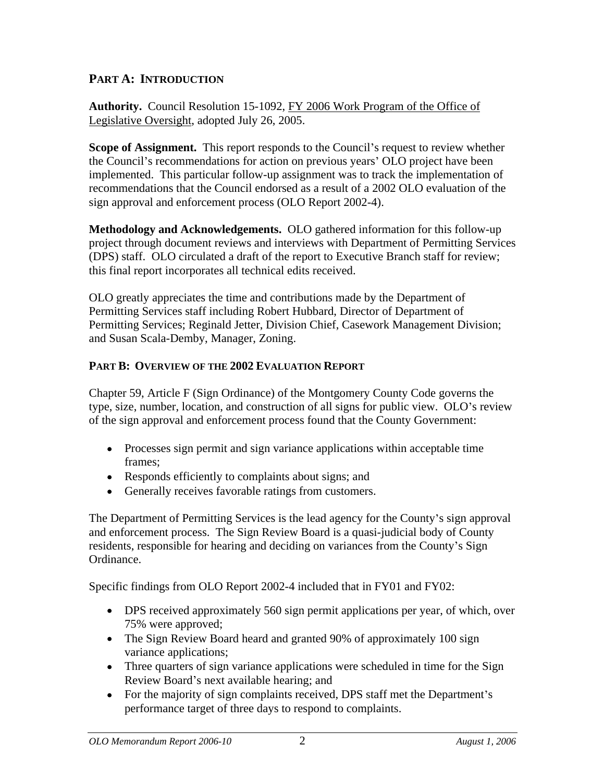### **PART A: INTRODUCTION**

**Authority.** Council Resolution 15-1092, FY 2006 Work Program of the Office of Legislative Oversight, adopted July 26, 2005.

**Scope of Assignment.** This report responds to the Council's request to review whether the Council's recommendations for action on previous years' OLO project have been implemented. This particular follow-up assignment was to track the implementation of recommendations that the Council endorsed as a result of a 2002 OLO evaluation of the sign approval and enforcement process (OLO Report 2002-4).

**Methodology and Acknowledgements.** OLO gathered information for this follow-up project through document reviews and interviews with Department of Permitting Services (DPS) staff. OLO circulated a draft of the report to Executive Branch staff for review; this final report incorporates all technical edits received.

OLO greatly appreciates the time and contributions made by the Department of Permitting Services staff including Robert Hubbard, Director of Department of Permitting Services; Reginald Jetter, Division Chief, Casework Management Division; and Susan Scala-Demby, Manager, Zoning.

#### **PART B: OVERVIEW OF THE 2002 EVALUATION REPORT**

Chapter 59, Article F (Sign Ordinance) of the Montgomery County Code governs the type, size, number, location, and construction of all signs for public view. OLO's review of the sign approval and enforcement process found that the County Government:

- Processes sign permit and sign variance applications within acceptable time frames; expressed a set of the set of the set of the set of the set of the set of the set of the set of the set of the set of the set of the set of the set of the set of the set of the set of the set of the set of the set
- Responds efficiently to complaints about signs; and
- Generally receives favorable ratings from customers.

The Department of Permitting Services is the lead agency for the County's sign approval and enforcement process. The Sign Review Board is a quasi-judicial body of County residents, responsible for hearing and deciding on variances from the County's Sign Ordinance.

Specific findings from OLO Report 2002-4 included that in FY01 and FY02:

- DPS received approximately 560 sign permit applications per year, of which, over 75% were approved;
- The Sign Review Board heard and granted 90% of approximately 100 sign variance applications;
- Three quarters of sign variance applications were scheduled in time for the Sign Review Board's next available hearing; and
- For the majority of sign complaints received, DPS staff met the Department's performance target of three days to respond to complaints.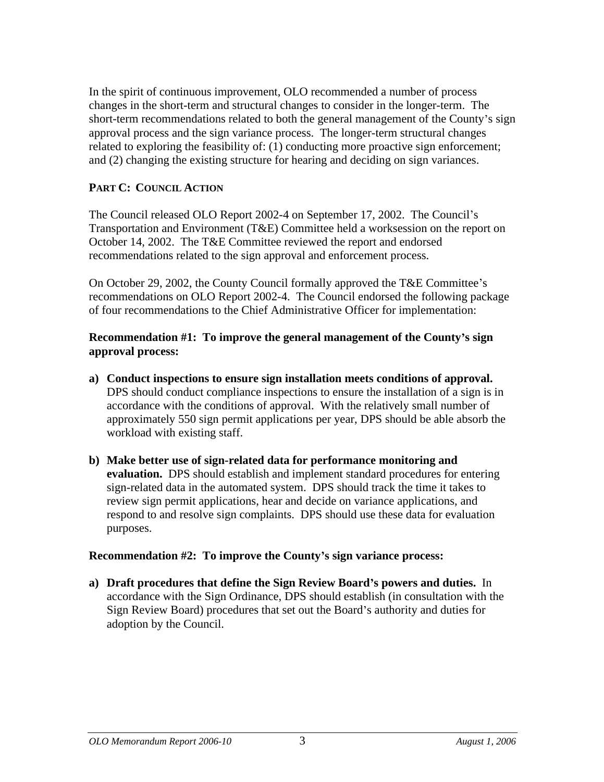In the spirit of continuous improvement, OLO recommended a number of process changes in the short-term and structural changes to consider in the longer-term. The short-term recommendations related to both the general management of the County's sign approval process and the sign variance process. The longer-term structural changes related to exploring the feasibility of: (1) conducting more proactive sign enforcement; and (2) changing the existing structure for hearing and deciding on sign variances.

#### **PART C: COUNCIL ACTION**

The Council released OLO Report 2002-4 on September 17, 2002. The Council's Transportation and Environment (T&E) Committee held a worksession on the report on October 14, 2002. The T&E Committee reviewed the report and endorsed recommendations related to the sign approval and enforcement process.

On October 29, 2002, the County Council formally approved the T&E Committee's recommendations on OLO Report 2002-4. The Council endorsed the following package of four recommendations to the Chief Administrative Officer for implementation:

#### **Recommendation #1: To improve the general management of the County s sign approval process:**

- **a) Conduct inspections to ensure sign installation meets conditions of approval.** DPS should conduct compliance inspections to ensure the installation of a sign is in accordance with the conditions of approval. With the relatively small number of approximately 550 sign permit applications per year, DPS should be able absorb the workload with existing staff.
- **b) Make better use of sign-related data for performance monitoring and evaluation.** DPS should establish and implement standard procedures for entering sign-related data in the automated system. DPS should track the time it takes to review sign permit applications, hear and decide on variance applications, and respond to and resolve sign complaints. DPS should use these data for evaluation purposes.

#### **Recommendation #2: To improve the County s sign variance process:**

**a) Draft procedures that define the Sign Review Board s powers and duties.** In accordance with the Sign Ordinance, DPS should establish (in consultation with the Sign Review Board) procedures that set out the Board's authority and duties for adoption by the Council.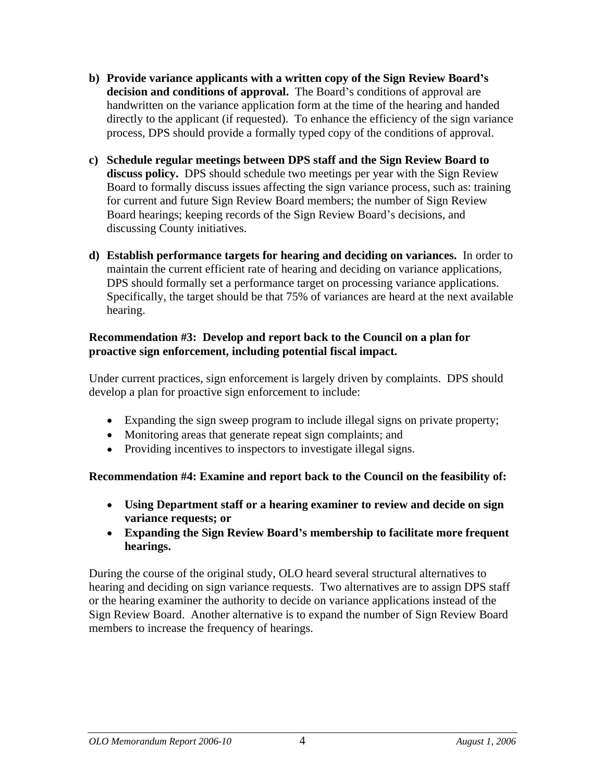- **b) Provide variance applicants with a written copy of the Sign Review Board s decision and conditions of approval.** The Board's conditions of approval are handwritten on the variance application form at the time of the hearing and handed directly to the applicant (if requested). To enhance the efficiency of the sign variance process, DPS should provide a formally typed copy of the conditions of approval.
- **c) Schedule regular meetings between DPS staff and the Sign Review Board to discuss policy.** DPS should schedule two meetings per year with the Sign Review Board to formally discuss issues affecting the sign variance process, such as: training for current and future Sign Review Board members; the number of Sign Review Board hearings; keeping records of the Sign Review Board's decisions, and discussing County initiatives.
- **d) Establish performance targets for hearing and deciding on variances.** In order to maintain the current efficient rate of hearing and deciding on variance applications, DPS should formally set a performance target on processing variance applications. Specifically, the target should be that 75% of variances are heard at the next available hearing.

#### **Recommendation #3: Develop and report back to the Council on a plan for proactive sign enforcement, including potential fiscal impact.**

Under current practices, sign enforcement is largely driven by complaints. DPS should develop a plan for proactive sign enforcement to include:

- Expanding the sign sweep program to include illegal signs on private property;
- Monitoring areas that generate repeat sign complaints; and
- Providing incentives to inspectors to investigate illegal signs.

#### **Recommendation #4: Examine and report back to the Council on the feasibility of:**

- **Using Department staff or a hearing examiner to review and decide on sign variance requests; or**
- **Expanding the Sign Review Board s membership to facilitate more frequent hearings.**

During the course of the original study, OLO heard several structural alternatives to hearing and deciding on sign variance requests. Two alternatives are to assign DPS staff or the hearing examiner the authority to decide on variance applications instead of the Sign Review Board. Another alternative is to expand the number of Sign Review Board members to increase the frequency of hearings.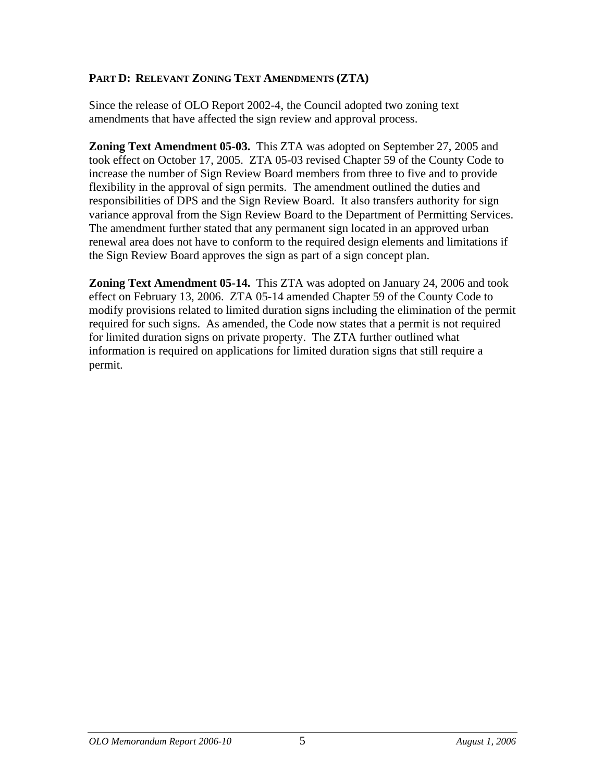#### **PART D: RELEVANT ZONING TEXT AMENDMENTS (ZTA)**

Since the release of OLO Report 2002-4, the Council adopted two zoning text amendments that have affected the sign review and approval process.

**Zoning Text Amendment 05-03.** This ZTA was adopted on September 27, 2005 and took effect on October 17, 2005. ZTA 05-03 revised Chapter 59 of the County Code to increase the number of Sign Review Board members from three to five and to provide flexibility in the approval of sign permits. The amendment outlined the duties and responsibilities of DPS and the Sign Review Board. It also transfers authority for sign variance approval from the Sign Review Board to the Department of Permitting Services. The amendment further stated that any permanent sign located in an approved urban renewal area does not have to conform to the required design elements and limitations if the Sign Review Board approves the sign as part of a sign concept plan.

**Zoning Text Amendment 05-14.** This ZTA was adopted on January 24, 2006 and took effect on February 13, 2006. ZTA 05-14 amended Chapter 59 of the County Code to modify provisions related to limited duration signs including the elimination of the permit required for such signs. As amended, the Code now states that a permit is not required for limited duration signs on private property. The ZTA further outlined what information is required on applications for limited duration signs that still require a permit.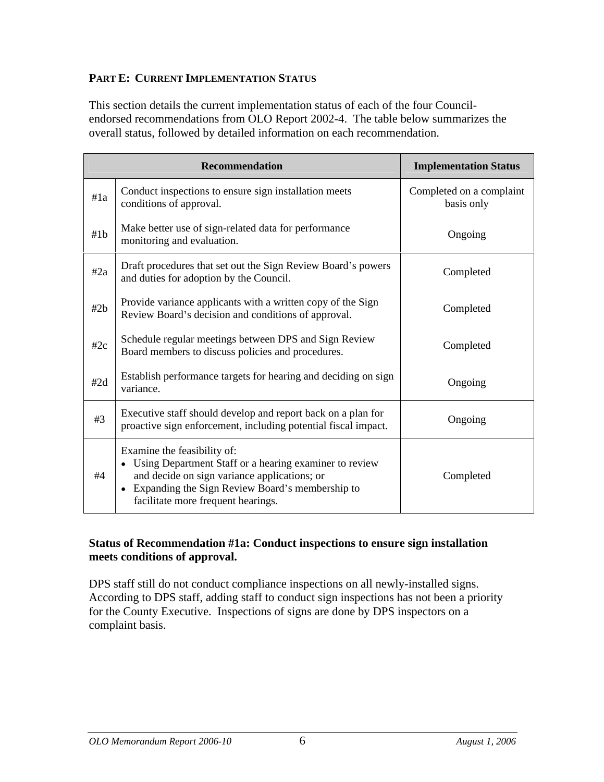#### **PART E: CURRENT IMPLEMENTATION STATUS**

This section details the current implementation status of each of the four Council endorsed recommendations from OLO Report 2002-4. The table below summarizes the overall status, followed by detailed information on each recommendation.

|     | Recommendation                                                                                                                                                                                                                     | <b>Implementation Status</b>           |
|-----|------------------------------------------------------------------------------------------------------------------------------------------------------------------------------------------------------------------------------------|----------------------------------------|
| #1a | Conduct inspections to ensure sign installation meets<br>conditions of approval.                                                                                                                                                   | Completed on a complaint<br>basis only |
| #1b | Make better use of sign-related data for performance<br>monitoring and evaluation.                                                                                                                                                 | Ongoing                                |
| #2a | Draft procedures that set out the Sign Review Board's powers<br>and duties for adoption by the Council.                                                                                                                            | Completed                              |
| #2b | Provide variance applicants with a written copy of the Sign<br>Review Board's decision and conditions of approval.                                                                                                                 | Completed                              |
| #2c | Schedule regular meetings between DPS and Sign Review<br>Board members to discuss policies and procedures.                                                                                                                         | Completed                              |
| #2d | Establish performance targets for hearing and deciding on sign  <br>variance.                                                                                                                                                      | Ongoing                                |
| #3  | Executive staff should develop and report back on a plan for<br>proactive sign enforcement, including potential fiscal impact.                                                                                                     | Ongoing                                |
| #4  | Examine the feasibility of:<br>• Using Department Staff or a hearing examiner to review<br>and decide on sign variance applications; or<br>• Expanding the Sign Review Board's membership to<br>facilitate more frequent hearings. | Completed                              |

#### **Status of Recommendation #1a: Conduct inspections to ensure sign installation meets conditions of approval.**

DPS staff still do not conduct compliance inspections on all newly-installed signs. According to DPS staff, adding staff to conduct sign inspections has not been a priority for the County Executive. Inspections of signs are done by DPS inspectors on a complaint basis.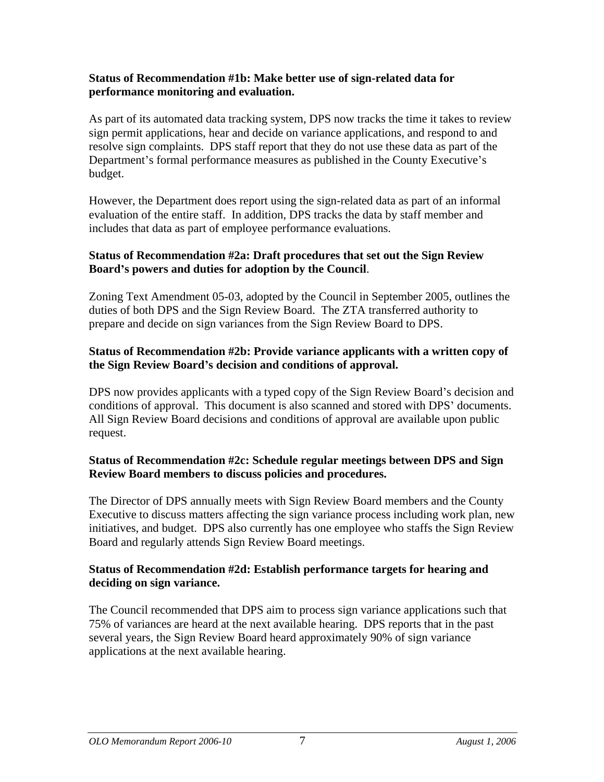#### **Status of Recommendation #1b: Make better use of sign-related data for performance monitoring and evaluation.**

As part of its automated data tracking system, DPS now tracks the time it takes to review sign permit applications, hear and decide on variance applications, and respond to and resolve sign complaints. DPS staff report that they do not use these data as part of the Department's formal performance measures as published in the County Executive's budget.

However, the Department does report using the sign-related data as part of an informal evaluation of the entire staff. In addition, DPS tracks the data by staff member and includes that data as part of employee performance evaluations.

# **Status of Recommendation #2a: Draft procedures that set out the Sign Review**

**Board <sup>s</sup> powers and duties for adoption by the Council**. Zoning Text Amendment 05-03, adopted by the Council in September 2005, outlines the duties of both DPS and the Sign Review Board. The ZTA transferred authority to prepare and decide on sign variances from the Sign Review Board to DPS.

#### **Status of Recommendation #2b: Provide variance applicants with a written copy of the Sign Review Board s decision and conditions of approval.**

DPS now provides applicants with a typed copy of the Sign Review Board's decision and conditions of approval. This document is also scanned and stored with DPS' documents. All Sign Review Board decisions and conditions of approval are available upon public request.

#### **Status of Recommendation #2c: Schedule regular meetings between DPS and Sign Review Board members to discuss policies and procedures.**

The Director of DPS annually meets with Sign Review Board members and the County Executive to discuss matters affecting the sign variance process including work plan, new initiatives, and budget. DPS also currently has one employee who staffs the Sign Review Board and regularly attends Sign Review Board meetings.

#### **Status of Recommendation #2d: Establish performance targets for hearing and deciding on sign variance.**

The Council recommended that DPS aim to process sign variance applications such that 75% of variances are heard at the next available hearing. DPS reports that in the past several years, the Sign Review Board heard approximately 90% of sign variance applications at the next available hearing.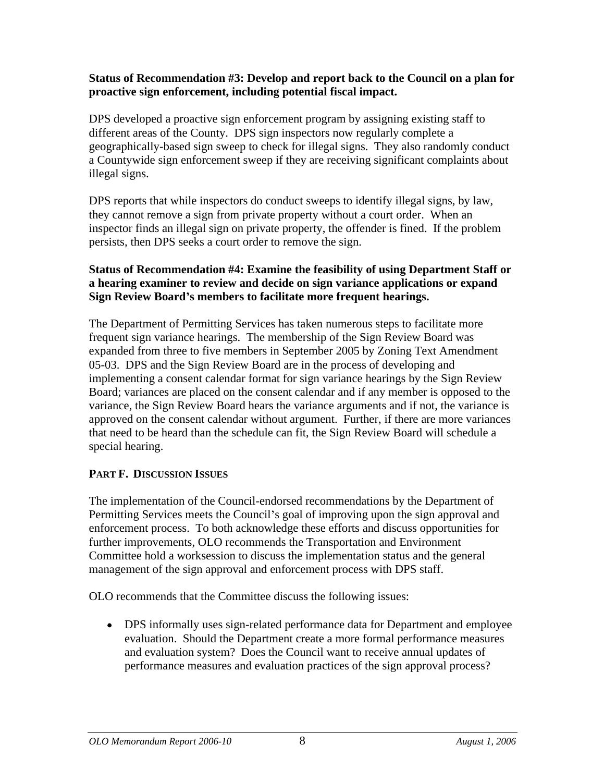## **Status of Recommendation #3: Develop and report back to the Council on a plan for proactive sign enforcement, including potential fiscal impact.** DPS developed a proactive sign enforcement program by assigning existing staff to

different areas of the County. DPS sign inspectors now regularly complete a geographically-based sign sweep to check for illegal signs. They also randomly conduct a Countywide sign enforcement sweep if they are receiving significant complaints about illegal signs.

DPS reports that while inspectors do conduct sweeps to identify illegal signs, by law, they cannot remove a sign from private property without a court order. When an inspector finds an illegal sign on private property, the offender is fined. If the problem persists, then DPS seeks a court order to remove the sign.

#### **Status of Recommendation #4: Examine the feasibility of using Department Staff or a hearing examiner to review and decide on sign variance applications or expand Sign Review Board s members to facilitate more frequent hearings.**

The Department of Permitting Services has taken numerous steps to facilitate more frequent sign variance hearings. The membership of the Sign Review Board was expanded from three to five members in September 2005 by Zoning Text Amendment 05-03. DPS and the Sign Review Board are in the process of developing and implementing a consent calendar format for sign variance hearings by the Sign Review Board; variances are placed on the consent calendar and if any member is opposed to the variance, the Sign Review Board hears the variance arguments and if not, the variance is approved on the consent calendar without argument. Further, if there are more variances that need to be heard than the schedule can fit, the Sign Review Board will schedule a special hearing.

#### **PART F. DISCUSSION ISSUES**

The implementation of the Council-endorsed recommendations by the Department of Permitting Services meets the Council's goal of improving upon the sign approval and enforcement process. To both acknowledge these efforts and discuss opportunities for further improvements, OLO recommends the Transportation and Environment Committee hold a worksession to discuss the implementation status and the general management of the sign approval and enforcement process with DPS staff.

OLO recommends that the Committee discuss the following issues:

DPS informally uses sign-related performance data for Department and employee evaluation. Should the Department create a more formal performance measures and evaluation system? Does the Council want to receive annual updates of performance measures and evaluation practices of the sign approval process?